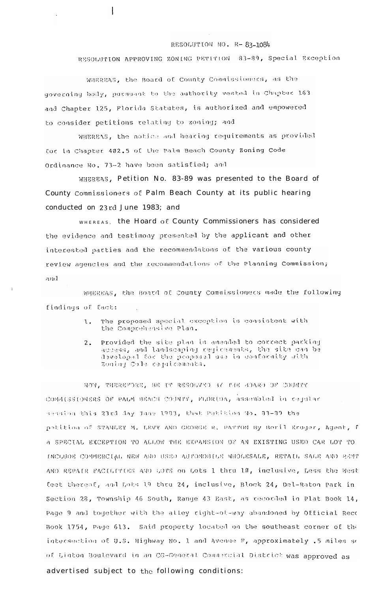## RESOLUTION NO. R-83-1084

RESOLUTION APPROVING ZONING PETITION 83-89, Special Exception

WHEREAS, the Board of County Commissioners, as the governing body, pursuant to the authority vested in Chapter 163 and Chapter 125, Florida Statutes, is authorized and empowered to consider petitions relating to zoning; and

 $\mathbf{I}$ 

WHEREAS, the notice and hearing requirements as provided for in Chapter 402.5 of the Palm Beach County Zoning Code Ordinance No. 73-2 have been satisfied; and

WHEREAS, Petition No. 83-89 was presented to the Board of County Commissioners of Palm Beach County at its public hearing conducted on 23rd June 1983; and

WHEREAS, the Hoard OE County Commissioners has considered the evidence and testimony presented by the applicant and other interested parties and the recommendatons of the various county review agencies and the recommendations of the Planning Commission; and

WHEREAS, the Board of County Commissioners made the following findings of fact:

- The proposed special exception is consistent with ι. the Comprehensive Plan.
- Provided the site plan is amended to correct parking  $2.$ access, and landscaping regirements, the site can be developed for the proposed use in conformity with Zoning Cole requirements.

NOW, THEREFORE, BE IT RESOLVED BY THE BOARD OF COUNTY COMMISSIONERS OF PALM BEACH COUNTY, FLORIDA, assembled in rejular session this 23rd day June 1983, that Patition No. 33-39 the petition of STANLEY M. LEVY AND GEORGE R. PATTON By Beril Kruger, Agent, f A SPECIAL EXCEPTION TO ALLOW THE EXPANSION OF AN EXISTING USED CAR LOT TO INCLUDE COMMERCIAL NEW AND USED AUTOMOBILE WHOLESALE, RETAIL SALE AND RENT AND REPAIR EACILITIES AND LOTS on Lots 1 thru 10, inclusive, Less the West feet thereof, and Lots 19 thru 24, inclusive, Block 24, Del-Raton Park in Section 28, Township 46 South, Range 43 East, as recorded in Plat Book 14, Page 9 and together with the alley right-of-way abandoned by Official Reco Book 1754, Page 613. Said property located on the southeast corner of the intersection of U.S. Highway No. 1 and Avenue F, approximately .5 miles so of Linton Boulevard in an CG-General Commercial District was approved as

advertised subject to the following conditions: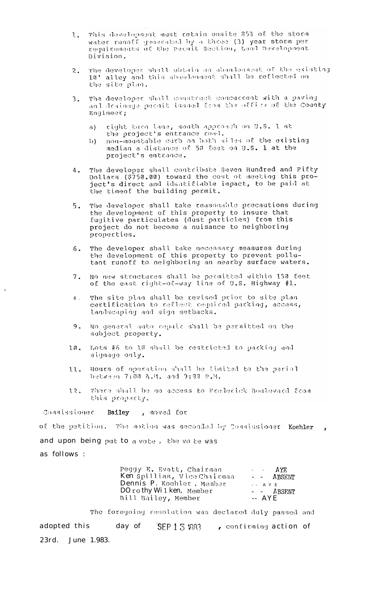- This development must retain onsite 85% of the storm  $\mathbf{L}_{\bullet}$ water runoff generated by a three (3) year storm per<br>requirements of the permit Section, Land Development Division.
- The developer shall obtain an abandonnent of the existing  $2.$ 10' alley and this abandonment shall be reflected on the site plan.
- The developer shall construct concurrent with a paving  $3.$ and drainage permit issued from the office of the County Engineer;
	- right burn lane, south approach on U.S. I at  $a)$ the project's entrance road.
	- non-mountable carb on both siles of the existing  $\{0\}$ median a distance of 50 feet on U.S. 1 at the project's entrance.
- The developer shall contribute Seven Hundred and Fifty  $4.$ Dollars (\$750.00) toward the cost of meeting this project's direct and identifiable impact, to be paid at the timeof the building permit.
- The developer shall take reasonable precautions during<br>the development of this property to insure that  $5.$ fugitive particulates (dust particles) from this project do not become a nuisance to neighboring properties.
- $6.$ The developer shall take necessary measures during the development of this property to prevent pollutant runoff to neighboring an nearby surface waters.
- No new structures shall be permitted within 150 feet<br>of the east right-of-way line of U.S. Highway #1.  $7.$
- The site plan shall be revised prior to site plan  $8<sup>1</sup>$ certification to reflect required parking, access, landscaping and sign setbacks.
- 9, No general auto repair shall be permitted on the subject property.
- Lots #6 to 10 shall be restricted to parking and  $10.$ signage only.
- Hours of operation shall be limited to the periol 11. between 7:00 A.M. and 9:00 P.M.
- There shall be no access to Frederick Boulevard from 12, this propacty.

Connissioner Bailey, moved for

of the petition. The motion was seconded by Commissioner Koehler and upon being put to a vote, the vo te was as follows :

| Peggy E. Evatt, Chairman    | AYP        |
|-----------------------------|------------|
| Ken Spillias, Vice Chairman | - - ABSENT |
| Dennis P. Koehler, Member   | $ A Y E$   |
| DO rothy Wilken, Member     | - - ABSENT |
| Bill Bailey, Member         | -- AYE     |

The foregoing resolution was declared duly passed and adopted this day of SEP 13 1983 , confirming action of June 1.983.  $23rd.$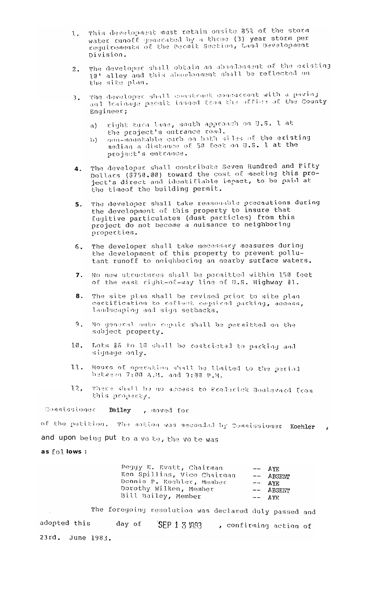- This development must retain onsite 35% of the storm 1. water runoff generated by a three (3) year storm per requirements of the Permit Section, Land Development Division.
- The developer shall obtain an abandonnent of the existing<br>10' alley and this abandonment shall be reflected on<br>the site plan.  $2.$
- The developer shall construct concurrent with a paving<br>and drainage permit issued from the office of the County  $3.$ Engineer;
	- right turn lane, south approach on U.S. 1 at a) the project's entrance road.
	- non-mountable curb on both siles of the existing<br>median a distance of 50 feet on U.S. 1 at the  $\{\}$ project's entrance.
- The developer shall contribute Seven Hundred and Fifty  $4.$ pollars (\$750.00) toward the cost of meeting this pro-<br>ject's direct and identifiable impact, to be paid at the timeof the building permit.
- The developer shall take reasonable precautions during  $5.$ the development of this property to insure that fugitive particulates (dust particles) from this<br>project do not become a nuisance to neighboring properties.
- The developer shall take necessary measures during 6. the development of this property to prevent pollutant runoff to neighboring an nearby surface waters.
- No new structures shall be permitted within 150 feet  $7<sup>7</sup>$ of the east right-of-way line of U.S. Highway #1.
- The site plan shall be revised prior to site plan  $8<sub>1</sub>$ certification to reflect required parking, access, landscaping and sign setbacks.
- $9.$ No general auto repair shall be permitted on the subject property.
- $10.$ Lots #6 to 10 shall be cestricted to packing and signage only.
- Hours of operation shall be limited to the period 11. between 7:00 A.M. and 9:00 P.M.
- There shall be no access to Frederick Boulevard Erom  $12,$ this property.

Commissioner Bailey , moved for

of the patition. The motion was seconded by Commissioner Koehler and upon being put to a volte, the volte was as follows :

| Peggy E. Evatt, Chairman    | $--$ AYE    |
|-----------------------------|-------------|
| Ken Spillias, Vice Chairman | $--$ ABSENP |
| Dennis P. Koehler, Member   | $--$ AVE    |
| Dorothy Wilken, Member      | -- ABSENT   |
| Bill Bailey, Member         | $---$ AYE   |

The foregoing resolution was declared duly passed and day of SEP 1 3 1983 , confirming action of adopted this 23rd. June 1983.